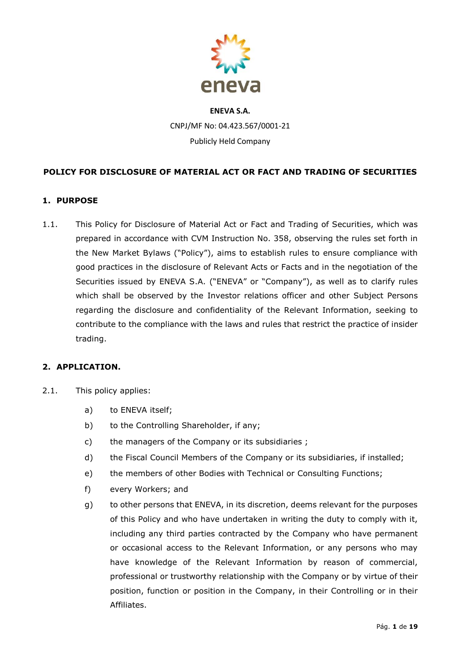

# **POLICY FOR DISCLOSURE OF MATERIAL ACT OR FACT AND TRADING OF SECURITIES**

# **1. PURPOSE**

1.1. This Policy for Disclosure of Material Act or Fact and Trading of Securities, which was prepared in accordance with CVM Instruction No. 358, observing the rules set forth in the New Market Bylaws ("Policy"), aims to establish rules to ensure compliance with good practices in the disclosure of Relevant Acts or Facts and in the negotiation of the Securities issued by ENEVA S.A. ("ENEVA" or "Company"), as well as to clarify rules which shall be observed by the Investor relations officer and other Subject Persons regarding the disclosure and confidentiality of the Relevant Information, seeking to contribute to the compliance with the laws and rules that restrict the practice of insider trading.

#### **2. APPLICATION.**

- 2.1. This policy applies:
	- a) to ENEVA itself;
	- b) to the Controlling Shareholder, if any;
	- c) the managers of the Company or its subsidiaries ;
	- d) the Fiscal Council Members of the Company or its subsidiaries, if installed;
	- e) the members of other Bodies with Technical or Consulting Functions;
	- f) every Workers; and
	- g) to other persons that ENEVA, in its discretion, deems relevant for the purposes of this Policy and who have undertaken in writing the duty to comply with it, including any third parties contracted by the Company who have permanent or occasional access to the Relevant Information, or any persons who may have knowledge of the Relevant Information by reason of commercial, professional or trustworthy relationship with the Company or by virtue of their position, function or position in the Company, in their Controlling or in their Affiliates.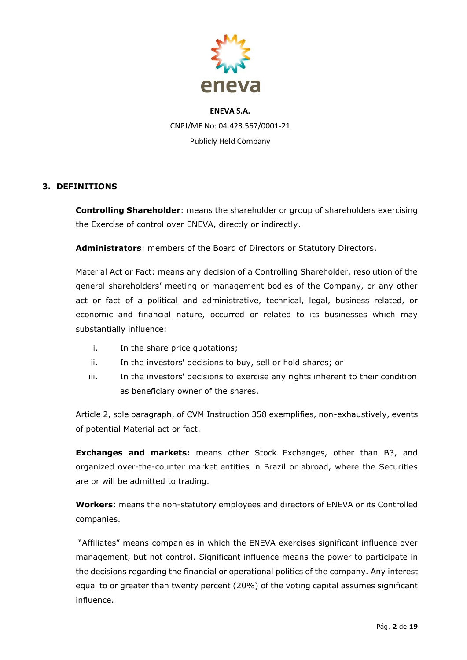

# **3. DEFINITIONS**

**Controlling Shareholder**: means the shareholder or group of shareholders exercising the Exercise of control over ENEVA, directly or indirectly.

**Administrators**: members of the Board of Directors or Statutory Directors.

Material Act or Fact: means any decision of a Controlling Shareholder, resolution of the general shareholders' meeting or management bodies of the Company, or any other act or fact of a political and administrative, technical, legal, business related, or economic and financial nature, occurred or related to its businesses which may substantially influence:

- i. In the share price quotations;
- ii. In the investors' decisions to buy, sell or hold shares; or
- iii. In the investors' decisions to exercise any rights inherent to their condition as beneficiary owner of the shares.

Article 2, sole paragraph, of CVM Instruction 358 exemplifies, non-exhaustively, events of potential Material act or fact.

**Exchanges and markets:** means other Stock Exchanges, other than B3, and organized over-the-counter market entities in Brazil or abroad, where the Securities are or will be admitted to trading.

**Workers**: means the non-statutory employees and directors of ENEVA or its Controlled companies.

"Affiliates" means companies in which the ENEVA exercises significant influence over management, but not control. Significant influence means the power to participate in the decisions regarding the financial or operational politics of the company. Any interest equal to or greater than twenty percent (20%) of the voting capital assumes significant influence.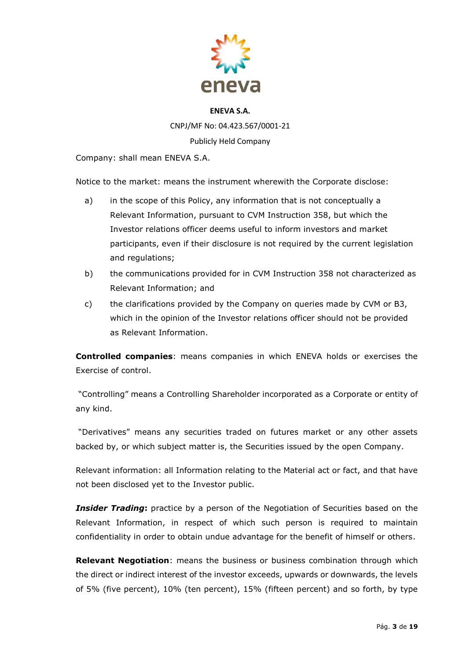

Company: shall mean ENEVA S.A.

Notice to the market: means the instrument wherewith the Corporate disclose:

- a) in the scope of this Policy, any information that is not conceptually a Relevant Information, pursuant to CVM Instruction 358, but which the Investor relations officer deems useful to inform investors and market participants, even if their disclosure is not required by the current legislation and regulations;
- b) the communications provided for in CVM Instruction 358 not characterized as Relevant Information; and
- c) the clarifications provided by the Company on queries made by CVM or B3, which in the opinion of the Investor relations officer should not be provided as Relevant Information.

**Controlled companies**: means companies in which ENEVA holds or exercises the Exercise of control.

"Controlling" means a Controlling Shareholder incorporated as a Corporate or entity of any kind.

"Derivatives" means any securities traded on futures market or any other assets backed by, or which subject matter is, the Securities issued by the open Company.

Relevant information: all Information relating to the Material act or fact, and that have not been disclosed yet to the Investor public.

**Insider Trading**: practice by a person of the Negotiation of Securities based on the Relevant Information, in respect of which such person is required to maintain confidentiality in order to obtain undue advantage for the benefit of himself or others.

**Relevant Negotiation**: means the business or business combination through which the direct or indirect interest of the investor exceeds, upwards or downwards, the levels of 5% (five percent), 10% (ten percent), 15% (fifteen percent) and so forth, by type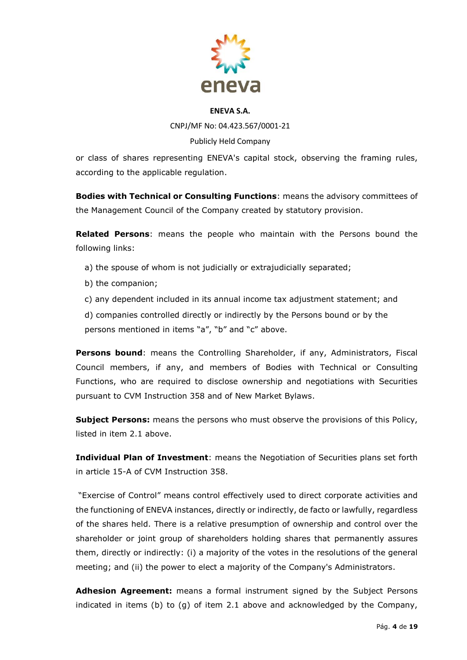

CNPJ/MF No: 04.423.567/0001-21 Publicly Held Company

or class of shares representing ENEVA's capital stock, observing the framing rules, according to the applicable regulation.

**Bodies with Technical or Consulting Functions**: means the advisory committees of the Management Council of the Company created by statutory provision.

**Related Persons**: means the people who maintain with the Persons bound the following links:

- a) the spouse of whom is not judicially or extrajudicially separated;
- b) the companion;
- c) any dependent included in its annual income tax adjustment statement; and

d) companies controlled directly or indirectly by the Persons bound or by the persons mentioned in items "a", "b" and "c" above.

**Persons bound:** means the Controlling Shareholder, if any, Administrators, Fiscal Council members, if any, and members of Bodies with Technical or Consulting Functions, who are required to disclose ownership and negotiations with Securities pursuant to CVM Instruction 358 and of New Market Bylaws.

**Subject Persons:** means the persons who must observe the provisions of this Policy, listed in item 2.1 above.

**Individual Plan of Investment**: means the Negotiation of Securities plans set forth in article 15-A of CVM Instruction 358.

"Exercise of Control" means control effectively used to direct corporate activities and the functioning of ENEVA instances, directly or indirectly, de facto or lawfully, regardless of the shares held. There is a relative presumption of ownership and control over the shareholder or joint group of shareholders holding shares that permanently assures them, directly or indirectly: (i) a majority of the votes in the resolutions of the general meeting; and (ii) the power to elect a majority of the Company's Administrators.

**Adhesion Agreement:** means a formal instrument signed by the Subject Persons indicated in items (b) to (g) of item 2.1 above and acknowledged by the Company,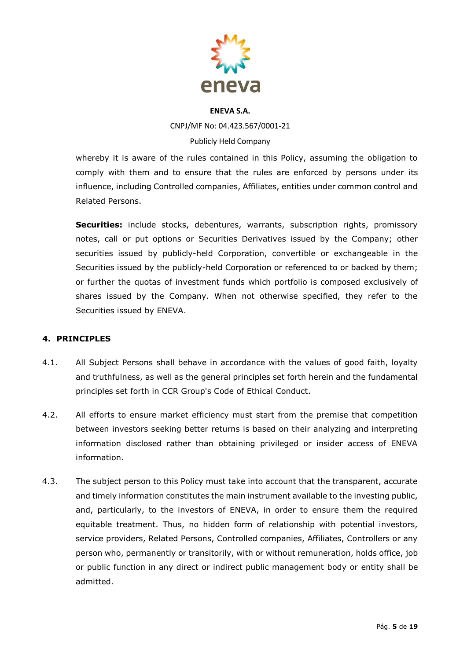

CNPJ/MF No: 04.423.567/0001-21 Publicly Held Company

whereby it is aware of the rules contained in this Policy, assuming the obligation to comply with them and to ensure that the rules are enforced by persons under its influence, including Controlled companies, Affiliates, entities under common control and Related Persons.

**Securities:** include stocks, debentures, warrants, subscription rights, promissory notes, call or put options or Securities Derivatives issued by the Company; other securities issued by publicly-held Corporation, convertible or exchangeable in the Securities issued by the publicly-held Corporation or referenced to or backed by them; or further the quotas of investment funds which portfolio is composed exclusively of shares issued by the Company. When not otherwise specified, they refer to the Securities issued by ENEVA.

# **4. PRINCIPLES**

- 4.1. All Subject Persons shall behave in accordance with the values of good faith, loyalty and truthfulness, as well as the general principles set forth herein and the fundamental principles set forth in CCR Group's Code of Ethical Conduct.
- 4.2. All efforts to ensure market efficiency must start from the premise that competition between investors seeking better returns is based on their analyzing and interpreting information disclosed rather than obtaining privileged or insider access of ENEVA information.
- 4.3. The subject person to this Policy must take into account that the transparent, accurate and timely information constitutes the main instrument available to the investing public, and, particularly, to the investors of ENEVA, in order to ensure them the required equitable treatment. Thus, no hidden form of relationship with potential investors, service providers, Related Persons, Controlled companies, Affiliates, Controllers or any person who, permanently or transitorily, with or without remuneration, holds office, job or public function in any direct or indirect public management body or entity shall be admitted.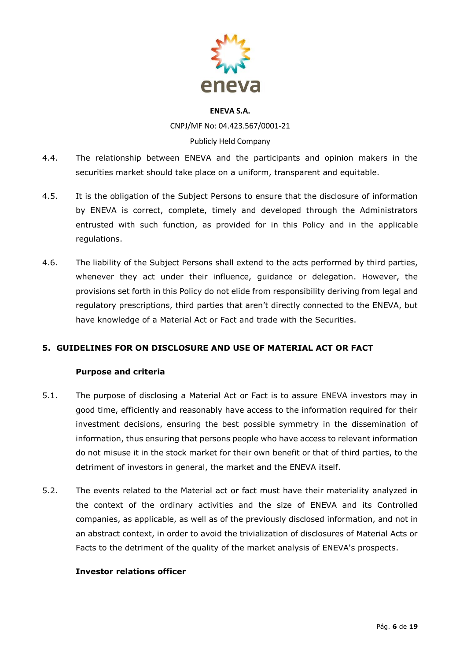

CNPJ/MF No: 04.423.567/0001-21 Publicly Held Company

- 4.4. The relationship between ENEVA and the participants and opinion makers in the securities market should take place on a uniform, transparent and equitable.
- 4.5. It is the obligation of the Subject Persons to ensure that the disclosure of information by ENEVA is correct, complete, timely and developed through the Administrators entrusted with such function, as provided for in this Policy and in the applicable regulations.
- 4.6. The liability of the Subject Persons shall extend to the acts performed by third parties, whenever they act under their influence, guidance or delegation. However, the provisions set forth in this Policy do not elide from responsibility deriving from legal and regulatory prescriptions, third parties that aren't directly connected to the ENEVA, but have knowledge of a Material Act or Fact and trade with the Securities.

# **5. GUIDELINES FOR ON DISCLOSURE AND USE OF MATERIAL ACT OR FACT**

# **Purpose and criteria**

- 5.1. The purpose of disclosing a Material Act or Fact is to assure ENEVA investors may in good time, efficiently and reasonably have access to the information required for their investment decisions, ensuring the best possible symmetry in the dissemination of information, thus ensuring that persons people who have access to relevant information do not misuse it in the stock market for their own benefit or that of third parties, to the detriment of investors in general, the market and the ENEVA itself.
- 5.2. The events related to the Material act or fact must have their materiality analyzed in the context of the ordinary activities and the size of ENEVA and its Controlled companies, as applicable, as well as of the previously disclosed information, and not in an abstract context, in order to avoid the trivialization of disclosures of Material Acts or Facts to the detriment of the quality of the market analysis of ENEVA's prospects.

#### **Investor relations officer**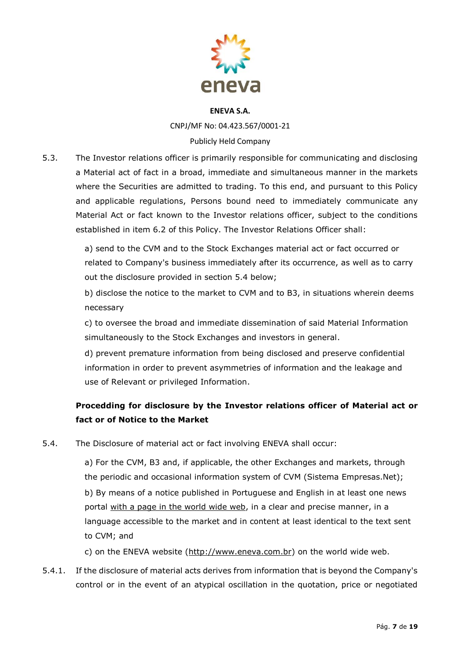

CNPJ/MF No: 04.423.567/0001-21

# Publicly Held Company

5.3. The Investor relations officer is primarily responsible for communicating and disclosing a Material act of fact in a broad, immediate and simultaneous manner in the markets where the Securities are admitted to trading. To this end, and pursuant to this Policy and applicable regulations, Persons bound need to immediately communicate any Material Act or fact known to the Investor relations officer, subject to the conditions established in item 6.2 of this Policy. The Investor Relations Officer shall:

> a) send to the CVM and to the Stock Exchanges material act or fact occurred or related to Company's business immediately after its occurrence, as well as to carry out the disclosure provided in section 5.4 below;

> b) disclose the notice to the market to CVM and to B3, in situations wherein deems necessary

c) to oversee the broad and immediate dissemination of said Material Information simultaneously to the Stock Exchanges and investors in general.

d) prevent premature information from being disclosed and preserve confidential information in order to prevent asymmetries of information and the leakage and use of Relevant or privileged Information.

# **Procedding for disclosure by the Investor relations officer of Material act or fact or of Notice to the Market**

5.4. The Disclosure of material act or fact involving ENEVA shall occur:

a) For the CVM, B3 and, if applicable, the other Exchanges and markets, through the periodic and occasional information system of CVM (Sistema Empresas.Net); b) By means of a notice published in Portuguese and English in at least one news portal with a page in the world wide web, in a clear and precise manner, in a language accessible to the market and in content at least identical to the text sent to CVM; and

c) on the ENEVA website (http://www.eneva.com.br) on the world wide web.

5.4.1. If the disclosure of material acts derives from information that is beyond the Company's control or in the event of an atypical oscillation in the quotation, price or negotiated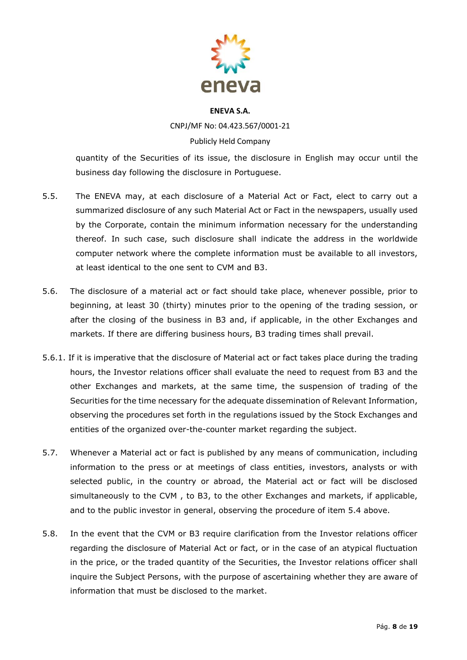

CNPJ/MF No: 04.423.567/0001-21 Publicly Held Company

quantity of the Securities of its issue, the disclosure in English may occur until the business day following the disclosure in Portuguese.

- 5.5. The ENEVA may, at each disclosure of a Material Act or Fact, elect to carry out a summarized disclosure of any such Material Act or Fact in the newspapers, usually used by the Corporate, contain the minimum information necessary for the understanding thereof. In such case, such disclosure shall indicate the address in the worldwide computer network where the complete information must be available to all investors, at least identical to the one sent to CVM and B3.
- 5.6. The disclosure of a material act or fact should take place, whenever possible, prior to beginning, at least 30 (thirty) minutes prior to the opening of the trading session, or after the closing of the business in B3 and, if applicable, in the other Exchanges and markets. If there are differing business hours, B3 trading times shall prevail.
- 5.6.1. If it is imperative that the disclosure of Material act or fact takes place during the trading hours, the Investor relations officer shall evaluate the need to request from B3 and the other Exchanges and markets, at the same time, the suspension of trading of the Securities for the time necessary for the adequate dissemination of Relevant Information, observing the procedures set forth in the regulations issued by the Stock Exchanges and entities of the organized over-the-counter market regarding the subject.
- 5.7. Whenever a Material act or fact is published by any means of communication, including information to the press or at meetings of class entities, investors, analysts or with selected public, in the country or abroad, the Material act or fact will be disclosed simultaneously to the CVM , to B3, to the other Exchanges and markets, if applicable, and to the public investor in general, observing the procedure of item 5.4 above.
- 5.8. In the event that the CVM or B3 require clarification from the Investor relations officer regarding the disclosure of Material Act or fact, or in the case of an atypical fluctuation in the price, or the traded quantity of the Securities, the Investor relations officer shall inquire the Subject Persons, with the purpose of ascertaining whether they are aware of information that must be disclosed to the market.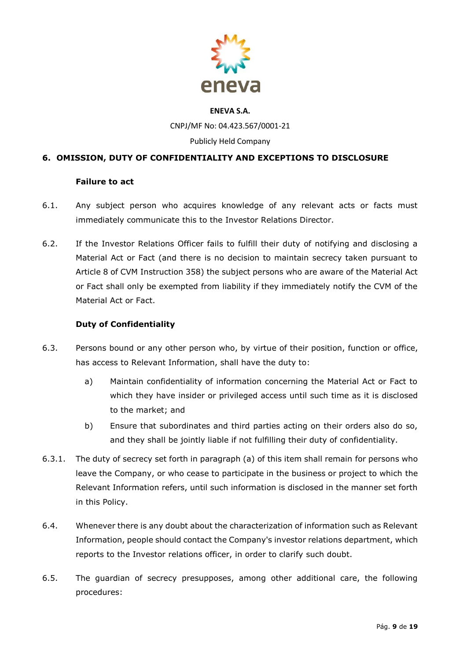

CNPJ/MF No: 04.423.567/0001-21

#### Publicly Held Company

# **6. OMISSION, DUTY OF CONFIDENTIALITY AND EXCEPTIONS TO DISCLOSURE**

#### **Failure to act**

- 6.1. Any subject person who acquires knowledge of any relevant acts or facts must immediately communicate this to the Investor Relations Director.
- 6.2. If the Investor Relations Officer fails to fulfill their duty of notifying and disclosing a Material Act or Fact (and there is no decision to maintain secrecy taken pursuant to Article 8 of CVM Instruction 358) the subject persons who are aware of the Material Act or Fact shall only be exempted from liability if they immediately notify the CVM of the Material Act or Fact.

#### **Duty of Confidentiality**

- 6.3. Persons bound or any other person who, by virtue of their position, function or office, has access to Relevant Information, shall have the duty to:
	- a) Maintain confidentiality of information concerning the Material Act or Fact to which they have insider or privileged access until such time as it is disclosed to the market; and
	- b) Ensure that subordinates and third parties acting on their orders also do so, and they shall be jointly liable if not fulfilling their duty of confidentiality.
- 6.3.1. The duty of secrecy set forth in paragraph (a) of this item shall remain for persons who leave the Company, or who cease to participate in the business or project to which the Relevant Information refers, until such information is disclosed in the manner set forth in this Policy.
- 6.4. Whenever there is any doubt about the characterization of information such as Relevant Information, people should contact the Company's investor relations department, which reports to the Investor relations officer, in order to clarify such doubt.
- 6.5. The guardian of secrecy presupposes, among other additional care, the following procedures: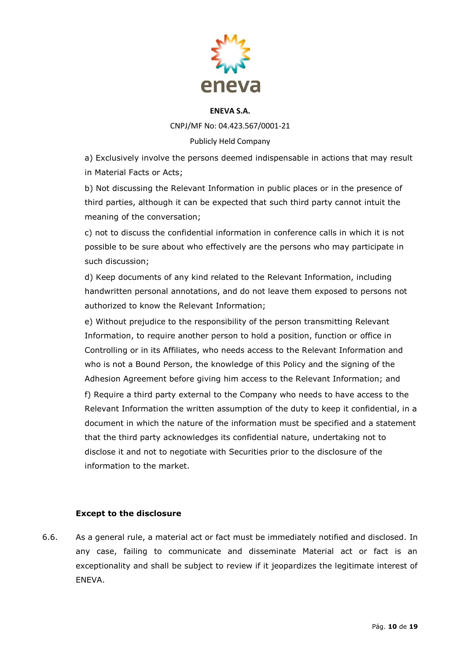

CNPJ/MF No: 04.423.567/0001-21

### Publicly Held Company

a) Exclusively involve the persons deemed indispensable in actions that may result in Material Facts or Acts;

b) Not discussing the Relevant Information in public places or in the presence of third parties, although it can be expected that such third party cannot intuit the meaning of the conversation;

c) not to discuss the confidential information in conference calls in which it is not possible to be sure about who effectively are the persons who may participate in such discussion;

d) Keep documents of any kind related to the Relevant Information, including handwritten personal annotations, and do not leave them exposed to persons not authorized to know the Relevant Information;

e) Without prejudice to the responsibility of the person transmitting Relevant Information, to require another person to hold a position, function or office in Controlling or in its Affiliates, who needs access to the Relevant Information and who is not a Bound Person, the knowledge of this Policy and the signing of the Adhesion Agreement before giving him access to the Relevant Information; and f) Require a third party external to the Company who needs to have access to the Relevant Information the written assumption of the duty to keep it confidential, in a document in which the nature of the information must be specified and a statement that the third party acknowledges its confidential nature, undertaking not to disclose it and not to negotiate with Securities prior to the disclosure of the information to the market.

# **Except to the disclosure**

6.6. As a general rule, a material act or fact must be immediately notified and disclosed. In any case, failing to communicate and disseminate Material act or fact is an exceptionality and shall be subject to review if it jeopardizes the legitimate interest of ENEVA.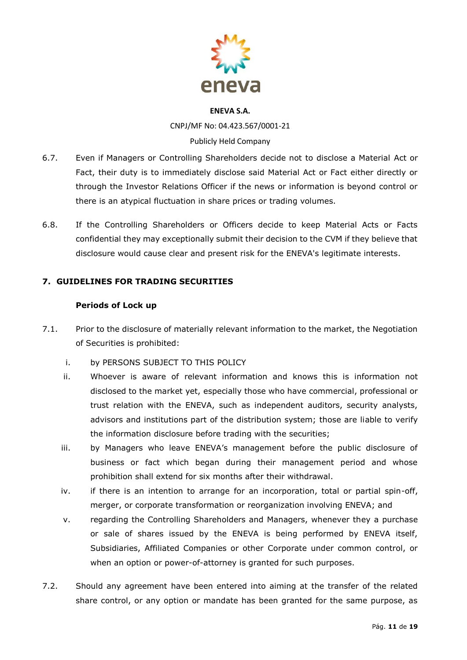

CNPJ/MF No: 04.423.567/0001-21 Publicly Held Company

# 6.7. Even if Managers or Controlling Shareholders decide not to disclose a Material Act or Fact, their duty is to immediately disclose said Material Act or Fact either directly or through the Investor Relations Officer if the news or information is beyond control or there is an atypical fluctuation in share prices or trading volumes.

6.8. If the Controlling Shareholders or Officers decide to keep Material Acts or Facts confidential they may exceptionally submit their decision to the CVM if they believe that disclosure would cause clear and present risk for the ENEVA's legitimate interests.

# **7. GUIDELINES FOR TRADING SECURITIES**

#### **Periods of Lock up**

- 7.1. Prior to the disclosure of materially relevant information to the market, the Negotiation of Securities is prohibited:
	- i. by PERSONS SUBJECT TO THIS POLICY
	- ii. Whoever is aware of relevant information and knows this is information not disclosed to the market yet, especially those who have commercial, professional or trust relation with the ENEVA, such as independent auditors, security analysts, advisors and institutions part of the distribution system; those are liable to verify the information disclosure before trading with the securities;
	- iii. by Managers who leave ENEVA's management before the public disclosure of business or fact which began during their management period and whose prohibition shall extend for six months after their withdrawal.
	- iv. if there is an intention to arrange for an incorporation, total or partial spin-off, merger, or corporate transformation or reorganization involving ENEVA; and
	- v. regarding the Controlling Shareholders and Managers, whenever they a purchase or sale of shares issued by the ENEVA is being performed by ENEVA itself, Subsidiaries, Affiliated Companies or other Corporate under common control, or when an option or power-of-attorney is granted for such purposes.
- 7.2. Should any agreement have been entered into aiming at the transfer of the related share control, or any option or mandate has been granted for the same purpose, as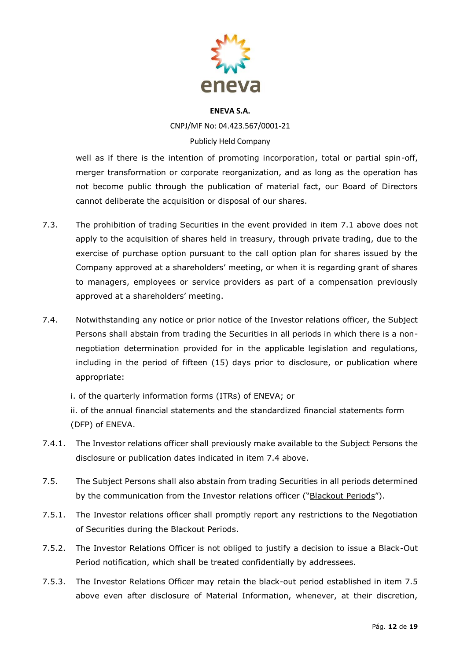

CNPJ/MF No: 04.423.567/0001-21 Publicly Held Company

well as if there is the intention of promoting incorporation, total or partial spin-off, merger transformation or corporate reorganization, and as long as the operation has not become public through the publication of material fact, our Board of Directors cannot deliberate the acquisition or disposal of our shares.

- 7.3. The prohibition of trading Securities in the event provided in item 7.1 above does not apply to the acquisition of shares held in treasury, through private trading, due to the exercise of purchase option pursuant to the call option plan for shares issued by the Company approved at a shareholders' meeting, or when it is regarding grant of shares to managers, employees or service providers as part of a compensation previously approved at a shareholders' meeting.
- 7.4. Notwithstanding any notice or prior notice of the Investor relations officer, the Subject Persons shall abstain from trading the Securities in all periods in which there is a nonnegotiation determination provided for in the applicable legislation and regulations, including in the period of fifteen (15) days prior to disclosure, or publication where appropriate:

i. of the quarterly information forms (ITRs) of ENEVA; or

ii. of the annual financial statements and the standardized financial statements form (DFP) of ENEVA.

- 7.4.1. The Investor relations officer shall previously make available to the Subject Persons the disclosure or publication dates indicated in item 7.4 above.
- 7.5. The Subject Persons shall also abstain from trading Securities in all periods determined by the communication from the Investor relations officer ("Blackout Periods").
- 7.5.1. The Investor relations officer shall promptly report any restrictions to the Negotiation of Securities during the Blackout Periods.
- 7.5.2. The Investor Relations Officer is not obliged to justify a decision to issue a Black-Out Period notification, which shall be treated confidentially by addressees.
- 7.5.3. The Investor Relations Officer may retain the black-out period established in item 7.5 above even after disclosure of Material Information, whenever, at their discretion,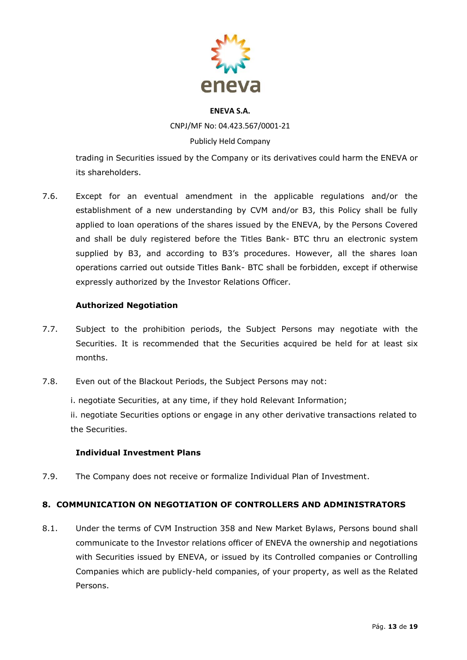

CNPJ/MF No: 04.423.567/0001-21

# Publicly Held Company

trading in Securities issued by the Company or its derivatives could harm the ENEVA or its shareholders.

7.6. Except for an eventual amendment in the applicable regulations and/or the establishment of a new understanding by CVM and/or B3, this Policy shall be fully applied to loan operations of the shares issued by the ENEVA, by the Persons Covered and shall be duly registered before the Titles Bank- BTC thru an electronic system supplied by B3, and according to B3's procedures. However, all the shares loan operations carried out outside Titles Bank- BTC shall be forbidden, except if otherwise expressly authorized by the Investor Relations Officer.

# **Authorized Negotiation**

- 7.7. Subject to the prohibition periods, the Subject Persons may negotiate with the Securities. It is recommended that the Securities acquired be held for at least six months.
- 7.8. Even out of the Blackout Periods, the Subject Persons may not:

i. negotiate Securities, at any time, if they hold Relevant Information;

ii. negotiate Securities options or engage in any other derivative transactions related to the Securities.

# **Individual Investment Plans**

7.9. The Company does not receive or formalize Individual Plan of Investment.

# **8. COMMUNICATION ON NEGOTIATION OF CONTROLLERS AND ADMINISTRATORS**

8.1. Under the terms of CVM Instruction 358 and New Market Bylaws, Persons bound shall communicate to the Investor relations officer of ENEVA the ownership and negotiations with Securities issued by ENEVA, or issued by its Controlled companies or Controlling Companies which are publicly-held companies, of your property, as well as the Related Persons.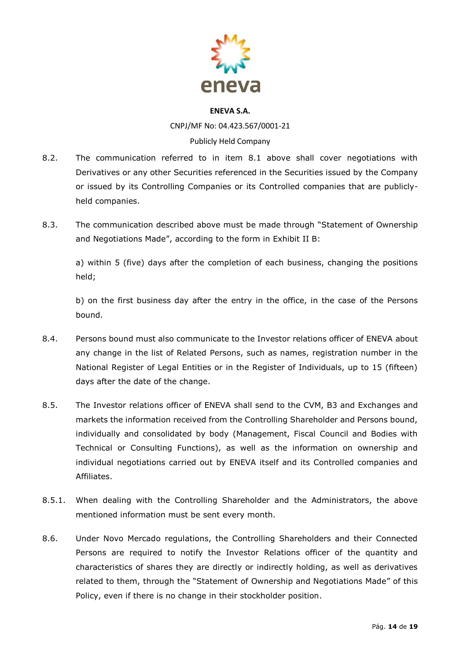

CNPJ/MF No: 04.423.567/0001-21 Publicly Held Company

- 8.2. The communication referred to in item 8.1 above shall cover negotiations with Derivatives or any other Securities referenced in the Securities issued by the Company or issued by its Controlling Companies or its Controlled companies that are publiclyheld companies.
- 8.3. The communication described above must be made through "Statement of Ownership and Negotiations Made", according to the form in Exhibit II B:

a) within 5 (five) days after the completion of each business, changing the positions held;

b) on the first business day after the entry in the office, in the case of the Persons bound.

- 8.4. Persons bound must also communicate to the Investor relations officer of ENEVA about any change in the list of Related Persons, such as names, registration number in the National Register of Legal Entities or in the Register of Individuals, up to 15 (fifteen) days after the date of the change.
- 8.5. The Investor relations officer of ENEVA shall send to the CVM, B3 and Exchanges and markets the information received from the Controlling Shareholder and Persons bound, individually and consolidated by body (Management, Fiscal Council and Bodies with Technical or Consulting Functions), as well as the information on ownership and individual negotiations carried out by ENEVA itself and its Controlled companies and Affiliates.
- 8.5.1. When dealing with the Controlling Shareholder and the Administrators, the above mentioned information must be sent every month.
- 8.6. Under Novo Mercado regulations, the Controlling Shareholders and their Connected Persons are required to notify the Investor Relations officer of the quantity and characteristics of shares they are directly or indirectly holding, as well as derivatives related to them, through the "Statement of Ownership and Negotiations Made" of this Policy, even if there is no change in their stockholder position.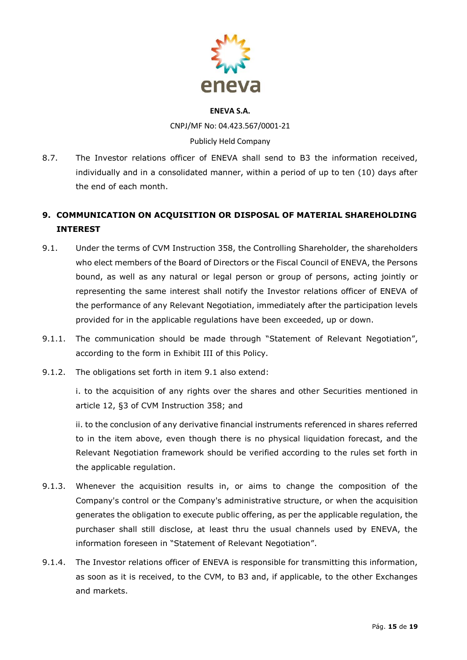

CNPJ/MF No: 04.423.567/0001-21 Publicly Held Company

8.7. The Investor relations officer of ENEVA shall send to B3 the information received, individually and in a consolidated manner, within a period of up to ten (10) days after the end of each month.

# **9. COMMUNICATION ON ACQUISITION OR DISPOSAL OF MATERIAL SHAREHOLDING INTEREST**

- 9.1. Under the terms of CVM Instruction 358, the Controlling Shareholder, the shareholders who elect members of the Board of Directors or the Fiscal Council of ENEVA, the Persons bound, as well as any natural or legal person or group of persons, acting jointly or representing the same interest shall notify the Investor relations officer of ENEVA of the performance of any Relevant Negotiation, immediately after the participation levels provided for in the applicable regulations have been exceeded, up or down.
- 9.1.1. The communication should be made through "Statement of Relevant Negotiation", according to the form in Exhibit III of this Policy.
- 9.1.2. The obligations set forth in item 9.1 also extend:

i. to the acquisition of any rights over the shares and other Securities mentioned in article 12, §3 of CVM Instruction 358; and

ii. to the conclusion of any derivative financial instruments referenced in shares referred to in the item above, even though there is no physical liquidation forecast, and the Relevant Negotiation framework should be verified according to the rules set forth in the applicable regulation.

- 9.1.3. Whenever the acquisition results in, or aims to change the composition of the Company's control or the Company's administrative structure, or when the acquisition generates the obligation to execute public offering, as per the applicable regulation, the purchaser shall still disclose, at least thru the usual channels used by ENEVA, the information foreseen in "Statement of Relevant Negotiation".
- 9.1.4. The Investor relations officer of ENEVA is responsible for transmitting this information, as soon as it is received, to the CVM, to B3 and, if applicable, to the other Exchanges and markets.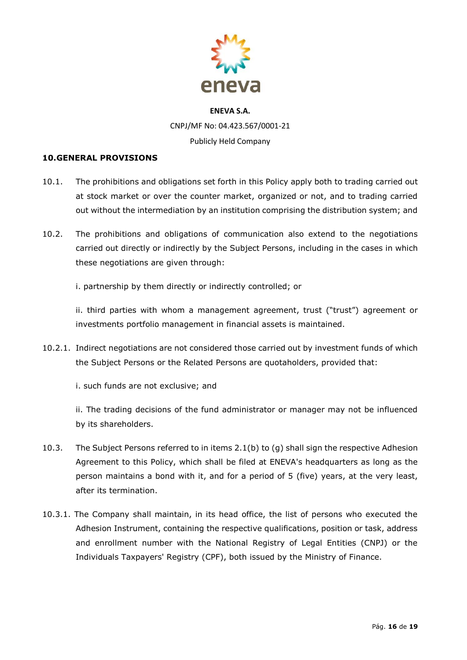

#### **10.GENERAL PROVISIONS**

- 10.1. The prohibitions and obligations set forth in this Policy apply both to trading carried out at stock market or over the counter market, organized or not, and to trading carried out without the intermediation by an institution comprising the distribution system; and
- 10.2. The prohibitions and obligations of communication also extend to the negotiations carried out directly or indirectly by the Subject Persons, including in the cases in which these negotiations are given through:
	- i. partnership by them directly or indirectly controlled; or

ii. third parties with whom a management agreement, trust ("trust") agreement or investments portfolio management in financial assets is maintained.

10.2.1. Indirect negotiations are not considered those carried out by investment funds of which the Subject Persons or the Related Persons are quotaholders, provided that:

i. such funds are not exclusive; and

ii. The trading decisions of the fund administrator or manager may not be influenced by its shareholders.

- 10.3. The Subject Persons referred to in items 2.1(b) to (g) shall sign the respective Adhesion Agreement to this Policy, which shall be filed at ENEVA's headquarters as long as the person maintains a bond with it, and for a period of 5 (five) years, at the very least, after its termination.
- 10.3.1. The Company shall maintain, in its head office, the list of persons who executed the Adhesion Instrument, containing the respective qualifications, position or task, address and enrollment number with the National Registry of Legal Entities (CNPJ) or the Individuals Taxpayers' Registry (CPF), both issued by the Ministry of Finance.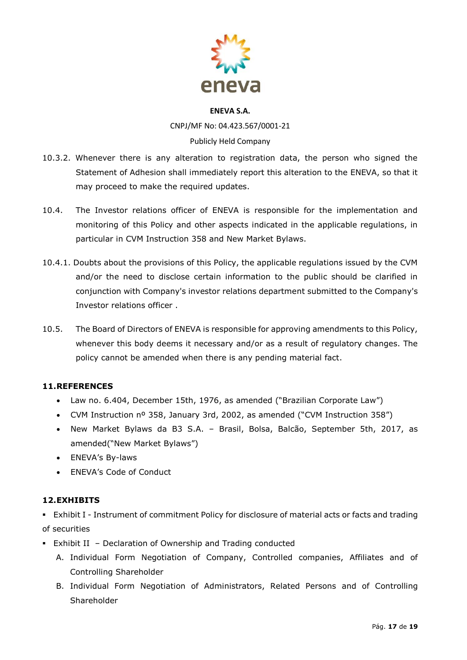

CNPJ/MF No: 04.423.567/0001-21 Publicly Held Company

- 10.3.2. Whenever there is any alteration to registration data, the person who signed the Statement of Adhesion shall immediately report this alteration to the ENEVA, so that it may proceed to make the required updates.
- 10.4. The Investor relations officer of ENEVA is responsible for the implementation and monitoring of this Policy and other aspects indicated in the applicable regulations, in particular in CVM Instruction 358 and New Market Bylaws.
- 10.4.1. Doubts about the provisions of this Policy, the applicable regulations issued by the CVM and/or the need to disclose certain information to the public should be clarified in conjunction with Company's investor relations department submitted to the Company's Investor relations officer .
- 10.5. The Board of Directors of ENEVA is responsible for approving amendments to this Policy, whenever this body deems it necessary and/or as a result of regulatory changes. The policy cannot be amended when there is any pending material fact.

# **11.REFERENCES**

- Law no. 6.404, December 15th, 1976, as amended ("Brazilian Corporate Law")
- CVM Instruction nº 358, January 3rd, 2002, as amended ("CVM Instruction 358")
- New Market Bylaws da B3 S.A. Brasil, Bolsa, Balcão, September 5th, 2017, as amended("New Market Bylaws")
- ENEVA's By-laws
- ENEVA's Code of Conduct

# **12.EXHIBITS**

**Exhibit I - Instrument of commitment Policy for disclosure of material acts or facts and trading** of securities

- Exhibit II Declaration of Ownership and Trading conducted
	- A. Individual Form Negotiation of Company, Controlled companies, Affiliates and of Controlling Shareholder
	- B. Individual Form Negotiation of Administrators, Related Persons and of Controlling **Shareholder**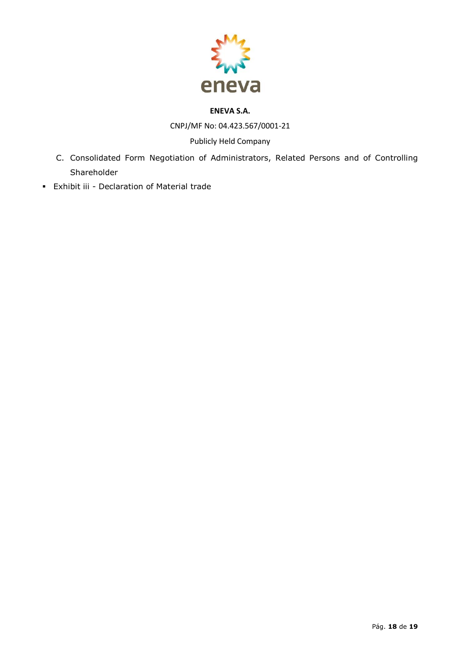

CNPJ/MF No: 04.423.567/0001-21

# Publicly Held Company

- C. Consolidated Form Negotiation of Administrators, Related Persons and of Controlling Shareholder
- Exhibit iii Declaration of Material trade